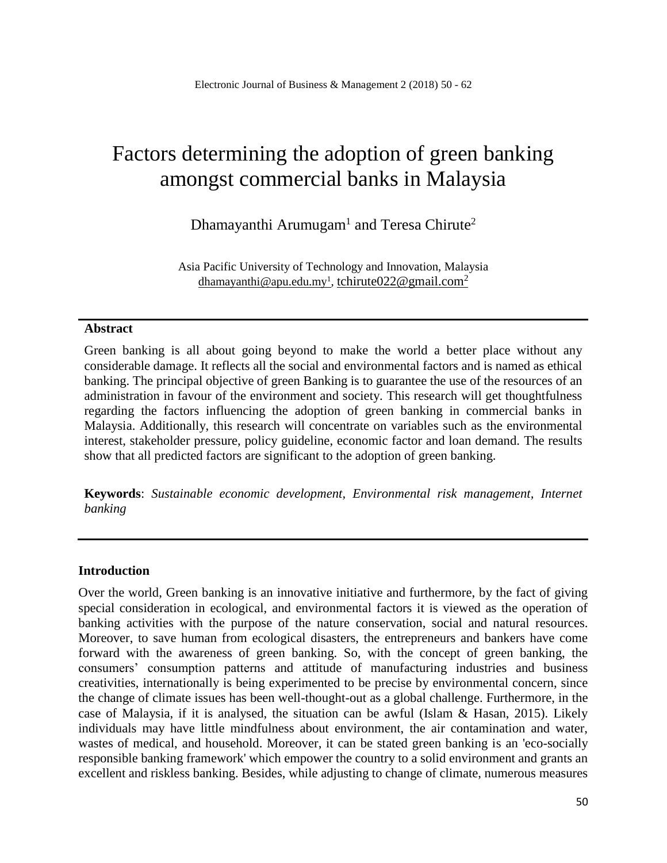# Factors determining the adoption of green banking amongst commercial banks in Malaysia

Dhamayanthi Arumugam<sup>1</sup> and Teresa Chirute<sup>2</sup>

Asia Pacific University of Technology and Innovation, Malaysia [dhamayanthi@apu.edu.my](mailto:dhamayanthi@apu.edu.my1)<sup>1</sup>, [tchirute022@gmail.com](mailto:tchirute022@gmail.com2)<sup>2</sup>

#### **Abstract**

Green banking is all about going beyond to make the world a better place without any considerable damage. It reflects all the social and environmental factors and is named as ethical banking. The principal objective of green Banking is to guarantee the use of the resources of an administration in favour of the environment and society. This research will get thoughtfulness regarding the factors influencing the adoption of green banking in commercial banks in Malaysia. Additionally, this research will concentrate on variables such as the environmental interest, stakeholder pressure, policy guideline, economic factor and loan demand. The results show that all predicted factors are significant to the adoption of green banking.

**Keywords**: *Sustainable economic development, Environmental risk management, Internet banking*

#### **Introduction**

Over the world, Green banking is an innovative initiative and furthermore, by the fact of giving special consideration in ecological, and environmental factors it is viewed as the operation of banking activities with the purpose of the nature conservation, social and natural resources. Moreover, to save human from ecological disasters, the entrepreneurs and bankers have come forward with the awareness of green banking. So, with the concept of green banking, the consumers' consumption patterns and attitude of manufacturing industries and business creativities, internationally is being experimented to be precise by environmental concern, since the change of climate issues has been well-thought-out as a global challenge. Furthermore, in the case of Malaysia, if it is analysed, the situation can be awful (Islam & Hasan, 2015). Likely individuals may have little mindfulness about environment, the air contamination and water, wastes of medical, and household. Moreover, it can be stated green banking is an 'eco-socially responsible banking framework' which empower the country to a solid environment and grants an excellent and riskless banking. Besides, while adjusting to change of climate, numerous measures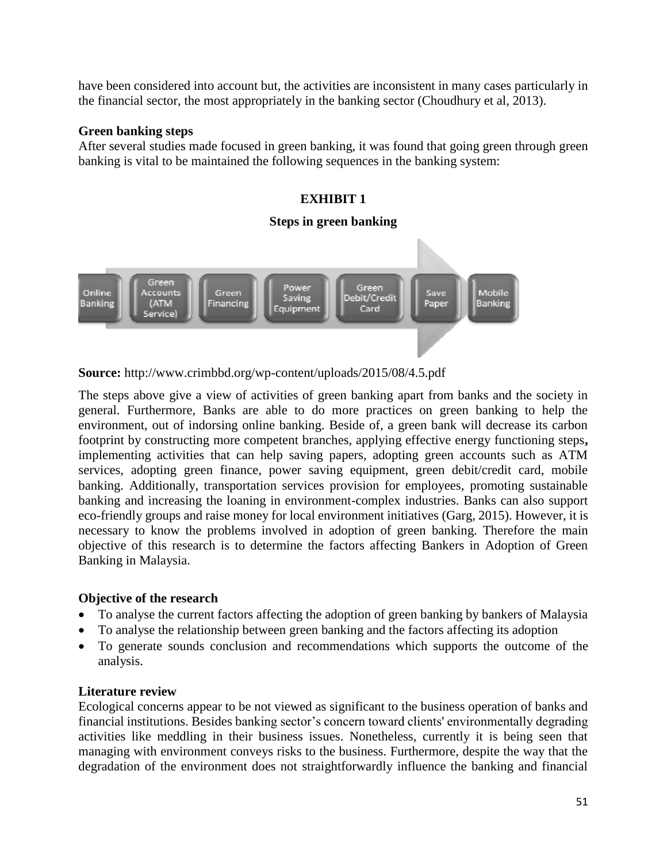have been considered into account but, the activities are inconsistent in many cases particularly in the financial sector, the most appropriately in the banking sector (Choudhury et al, 2013).

## **Green banking steps**

After several studies made focused in green banking, it was found that going green through green banking is vital to be maintained the following sequences in the banking system:



**Source:** http://www.crimbbd.org/wp-content/uploads/2015/08/4.5.pdf

The steps above give a view of activities of green banking apart from banks and the society in general. Furthermore, Banks are able to do more practices on green banking to help the environment, out of indorsing online banking. Beside of, a green bank will decrease its carbon footprint by constructing more competent branches, applying effective energy functioning steps**,**  implementing activities that can help saving papers, adopting green accounts such as ATM services, adopting green finance, power saving equipment, green debit/credit card, mobile banking. Additionally, transportation services provision for employees, promoting sustainable banking and increasing the loaning in environment-complex industries. Banks can also support eco-friendly groups and raise money for local environment initiatives (Garg, 2015). However, it is necessary to know the problems involved in adoption of green banking. Therefore the main objective of this research is to determine the factors affecting Bankers in Adoption of Green Banking in Malaysia.

## **Objective of the research**

- To analyse the current factors affecting the adoption of green banking by bankers of Malaysia
- To analyse the relationship between green banking and the factors affecting its adoption
- To generate sounds conclusion and recommendations which supports the outcome of the analysis.

## **Literature review**

Ecological concerns appear to be not viewed as significant to the business operation of banks and financial institutions. Besides banking sector's concern toward clients' environmentally degrading activities like meddling in their business issues. Nonetheless, currently it is being seen that managing with environment conveys risks to the business. Furthermore, despite the way that the degradation of the environment does not straightforwardly influence the banking and financial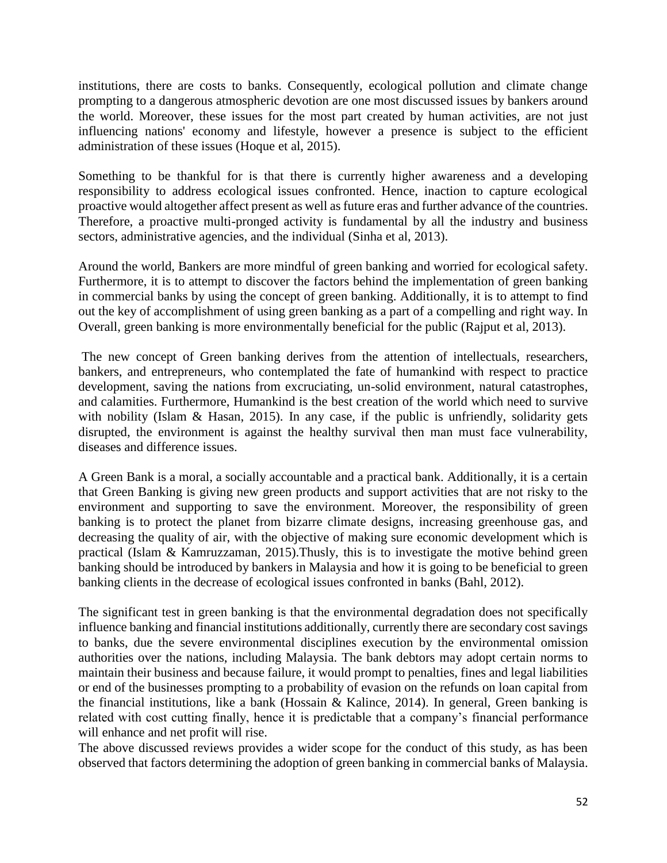institutions, there are costs to banks. Consequently, ecological pollution and climate change prompting to a dangerous atmospheric devotion are one most discussed issues by bankers around the world. Moreover, these issues for the most part created by human activities, are not just influencing nations' economy and lifestyle, however a presence is subject to the efficient administration of these issues (Hoque et al, 2015).

Something to be thankful for is that there is currently higher awareness and a developing responsibility to address ecological issues confronted. Hence, inaction to capture ecological proactive would altogether affect present as well as future eras and further advance of the countries. Therefore, a proactive multi-pronged activity is fundamental by all the industry and business sectors, administrative agencies, and the individual (Sinha et al, 2013).

Around the world, Bankers are more mindful of green banking and worried for ecological safety. Furthermore, it is to attempt to discover the factors behind the implementation of green banking in commercial banks by using the concept of green banking. Additionally, it is to attempt to find out the key of accomplishment of using green banking as a part of a compelling and right way. In Overall, green banking is more environmentally beneficial for the public (Rajput et al, 2013).

The new concept of Green banking derives from the attention of intellectuals, researchers, bankers, and entrepreneurs, who contemplated the fate of humankind with respect to practice development, saving the nations from excruciating, un-solid environment, natural catastrophes, and calamities. Furthermore, Humankind is the best creation of the world which need to survive with nobility (Islam & Hasan, 2015). In any case, if the public is unfriendly, solidarity gets disrupted, the environment is against the healthy survival then man must face vulnerability, diseases and difference issues.

A Green Bank is a moral, a socially accountable and a practical bank. Additionally, it is a certain that Green Banking is giving new green products and support activities that are not risky to the environment and supporting to save the environment. Moreover, the responsibility of green banking is to protect the planet from bizarre climate designs, increasing greenhouse gas, and decreasing the quality of air, with the objective of making sure economic development which is practical (Islam & Kamruzzaman, 2015).Thusly, this is to investigate the motive behind green banking should be introduced by bankers in Malaysia and how it is going to be beneficial to green banking clients in the decrease of ecological issues confronted in banks (Bahl, 2012).

The significant test in green banking is that the environmental degradation does not specifically influence banking and financial institutions additionally, currently there are secondary cost savings to banks, due the severe environmental disciplines execution by the environmental omission authorities over the nations, including Malaysia. The bank debtors may adopt certain norms to maintain their business and because failure, it would prompt to penalties, fines and legal liabilities or end of the businesses prompting to a probability of evasion on the refunds on loan capital from the financial institutions, like a bank (Hossain & Kalince, 2014). In general, Green banking is related with cost cutting finally, hence it is predictable that a company's financial performance will enhance and net profit will rise.

The above discussed reviews provides a wider scope for the conduct of this study, as has been observed that factors determining the adoption of green banking in commercial banks of Malaysia.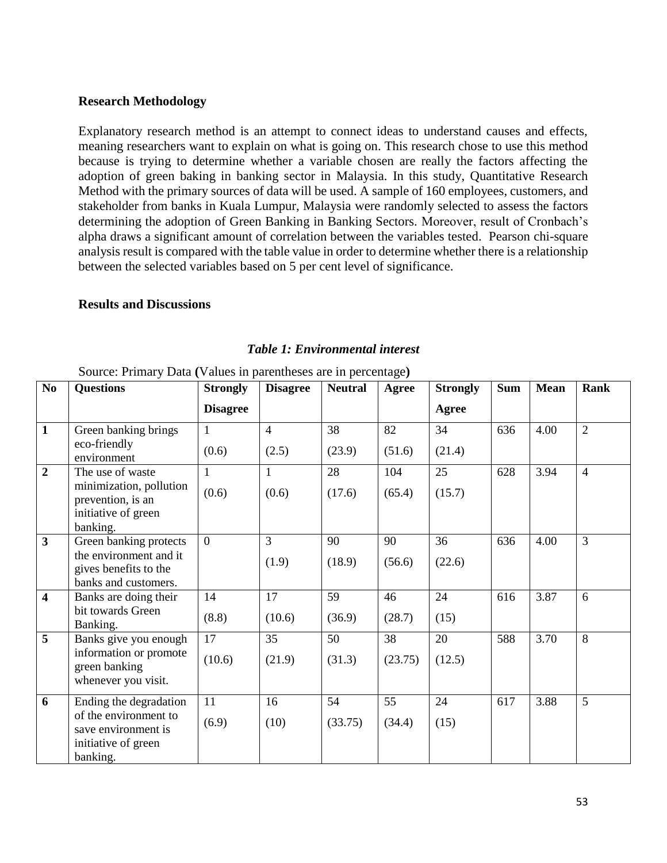#### **Research Methodology**

Explanatory research method is an attempt to connect ideas to understand causes and effects, meaning researchers want to explain on what is going on. This research chose to use this method because is trying to determine whether a variable chosen are really the factors affecting the adoption of green baking in banking sector in Malaysia. In this study, Quantitative Research Method with the primary sources of data will be used. A sample of 160 employees, customers, and stakeholder from banks in Kuala Lumpur, Malaysia were randomly selected to assess the factors determining the adoption of Green Banking in Banking Sectors. Moreover, result of Cronbach's alpha draws a significant amount of correlation between the variables tested. Pearson chi-square analysis result is compared with the table value in order to determine whether there is a relationship between the selected variables based on 5 per cent level of significance.

#### **Results and Discussions**

|                         | Source: Primary Data (Values in parentheses are in percentage)                                            |                       |                         |                |               |                 |            |             |                |  |  |
|-------------------------|-----------------------------------------------------------------------------------------------------------|-----------------------|-------------------------|----------------|---------------|-----------------|------------|-------------|----------------|--|--|
| No                      | <b>Questions</b>                                                                                          | <b>Strongly</b>       | <b>Disagree</b>         | <b>Neutral</b> | Agree         | <b>Strongly</b> | <b>Sum</b> | <b>Mean</b> | Rank           |  |  |
|                         |                                                                                                           | <b>Disagree</b>       |                         |                |               | <b>Agree</b>    |            |             |                |  |  |
| $\mathbf{1}$            | Green banking brings<br>eco-friendly<br>environment                                                       | $\mathbf{1}$<br>(0.6) | $\overline{4}$<br>(2.5) | 38<br>(23.9)   | 82<br>(51.6)  | 34<br>(21.4)    | 636        | 4.00        | $\overline{2}$ |  |  |
| $\overline{2}$          | The use of waste<br>minimization, pollution<br>prevention, is an<br>initiative of green<br>banking.       | $\mathbf{1}$<br>(0.6) | $\mathbf{1}$<br>(0.6)   | 28<br>(17.6)   | 104<br>(65.4) | 25<br>(15.7)    | 628        | 3.94        | $\overline{4}$ |  |  |
| $\overline{\mathbf{3}}$ | Green banking protects<br>the environment and it<br>gives benefits to the<br>banks and customers.         | $\theta$              | 3<br>(1.9)              | 90<br>(18.9)   | 90<br>(56.6)  | 36<br>(22.6)    | 636        | 4.00        | 3              |  |  |
| $\overline{\mathbf{4}}$ | Banks are doing their<br>bit towards Green<br>Banking.                                                    | 14<br>(8.8)           | 17<br>(10.6)            | 59<br>(36.9)   | 46<br>(28.7)  | 24<br>(15)      | 616        | 3.87        | 6              |  |  |
| 5                       | Banks give you enough<br>information or promote<br>green banking<br>whenever you visit.                   | 17<br>(10.6)          | 35<br>(21.9)            | 50<br>(31.3)   | 38<br>(23.75) | 20<br>(12.5)    | 588        | 3.70        | 8              |  |  |
| 6                       | Ending the degradation<br>of the environment to<br>save environment is<br>initiative of green<br>banking. | 11<br>(6.9)           | 16<br>(10)              | 54<br>(33.75)  | 55<br>(34.4)  | 24<br>(15)      | 617        | 3.88        | 5              |  |  |

#### *Table 1: Environmental interest*

53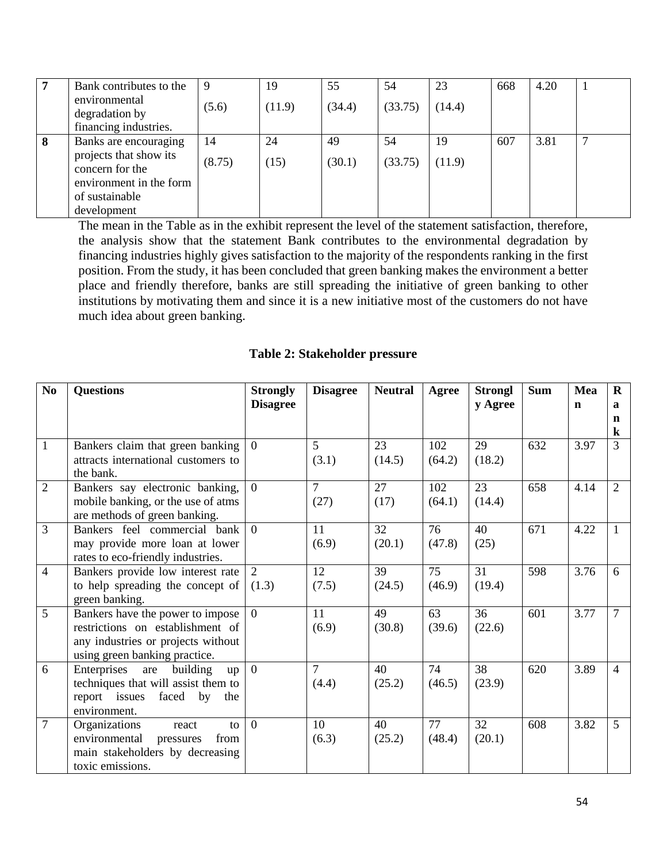|   | Bank contributes to the                   | -9     | 19     | 55     | 54      | 23     | 668 | 4.20 |  |
|---|-------------------------------------------|--------|--------|--------|---------|--------|-----|------|--|
|   | environmental                             | (5.6)  | (11.9) | (34.4) | (33.75) | (14.4) |     |      |  |
|   | degradation by                            |        |        |        |         |        |     |      |  |
|   | financing industries.                     |        |        |        |         |        |     |      |  |
| 8 | Banks are encouraging                     | 14     | 24     | 49     | 54      | 19     | 607 | 3.81 |  |
|   | projects that show its<br>concern for the | (8.75) | (15)   | (30.1) | (33.75) | (11.9) |     |      |  |
|   | environment in the form                   |        |        |        |         |        |     |      |  |
|   | of sustainable                            |        |        |        |         |        |     |      |  |
|   | development                               |        |        |        |         |        |     |      |  |

The mean in the Table as in the exhibit represent the level of the statement satisfaction, therefore, the analysis show that the statement Bank contributes to the environmental degradation by financing industries highly gives satisfaction to the majority of the respondents ranking in the first position. From the study, it has been concluded that green banking makes the environment a better place and friendly therefore, banks are still spreading the initiative of green banking to other institutions by motivating them and since it is a new initiative most of the customers do not have much idea about green banking.

## **Table 2: Stakeholder pressure**

| N <sub>0</sub> | <b>Questions</b>                       | <b>Strongly</b> | <b>Disagree</b> | <b>Neutral</b> | Agree  | <b>Strongl</b> | <b>Sum</b> | Mea         | $\bf{R}$        |
|----------------|----------------------------------------|-----------------|-----------------|----------------|--------|----------------|------------|-------------|-----------------|
|                |                                        | <b>Disagree</b> |                 |                |        | y Agree        |            | $\mathbf n$ | $\mathbf{a}$    |
|                |                                        |                 |                 |                |        |                |            |             | n               |
|                |                                        |                 |                 |                |        |                |            |             | $\bf k$         |
| $\mathbf{1}$   | Bankers claim that green banking       | $\overline{0}$  | 5               | 23             | 102    | 29             | 632        | 3.97        | $\overline{3}$  |
|                | attracts international customers to    |                 | (3.1)           | (14.5)         | (64.2) | (18.2)         |            |             |                 |
|                | the bank.                              |                 |                 |                |        |                |            |             |                 |
| $\overline{2}$ | Bankers say electronic banking,        | $\theta$        | $\overline{7}$  | 27             | 102    | 23             | 658        | 4.14        | $\overline{2}$  |
|                | mobile banking, or the use of atms     |                 | (27)            | (17)           | (64.1) | (14.4)         |            |             |                 |
|                | are methods of green banking.          |                 |                 |                |        |                |            |             |                 |
| $\overline{3}$ | Bankers feel commercial bank           | $\theta$        | 11              | 32             | 76     | 40             | 671        | 4.22        | 1               |
|                | may provide more loan at lower         |                 | (6.9)           | (20.1)         | (47.8) | (25)           |            |             |                 |
|                | rates to eco-friendly industries.      |                 |                 |                |        |                |            |             |                 |
| $\overline{4}$ | Bankers provide low interest rate      | 2               | 12              | 39             | 75     | 31             | 598        | 3.76        | 6               |
|                | to help spreading the concept of       | (1.3)           | (7.5)           | (24.5)         | (46.9) | (19.4)         |            |             |                 |
|                | green banking.                         |                 |                 |                |        |                |            |             |                 |
| 5              | Bankers have the power to impose       | $\theta$        | 11              | 49             | 63     | 36             | 601        | 3.77        | $7\phantom{.0}$ |
|                | restrictions on establishment of       |                 | (6.9)           | (30.8)         | (39.6) | (22.6)         |            |             |                 |
|                | any industries or projects without     |                 |                 |                |        |                |            |             |                 |
|                | using green banking practice.          |                 |                 |                |        |                |            |             |                 |
| 6              | Enterprises<br>building<br>are<br>up   | $\theta$        | $\overline{7}$  | 40             | 74     | 38             | 620        | 3.89        | $\overline{4}$  |
|                | techniques that will assist them to    |                 | (4.4)           | (25.2)         | (46.5) | (23.9)         |            |             |                 |
|                | report issues faced<br>by<br>the       |                 |                 |                |        |                |            |             |                 |
|                | environment.                           |                 |                 |                |        |                |            |             |                 |
| $\overline{7}$ | Organizations<br>$\mathbf{t}$<br>react | $\theta$        | 10              | 40             | 77     | 32             | 608        | 3.82        | $\mathfrak{F}$  |
|                | environmental<br>pressures<br>from     |                 | (6.3)           | (25.2)         | (48.4) | (20.1)         |            |             |                 |
|                | main stakeholders by decreasing        |                 |                 |                |        |                |            |             |                 |
|                | toxic emissions.                       |                 |                 |                |        |                |            |             |                 |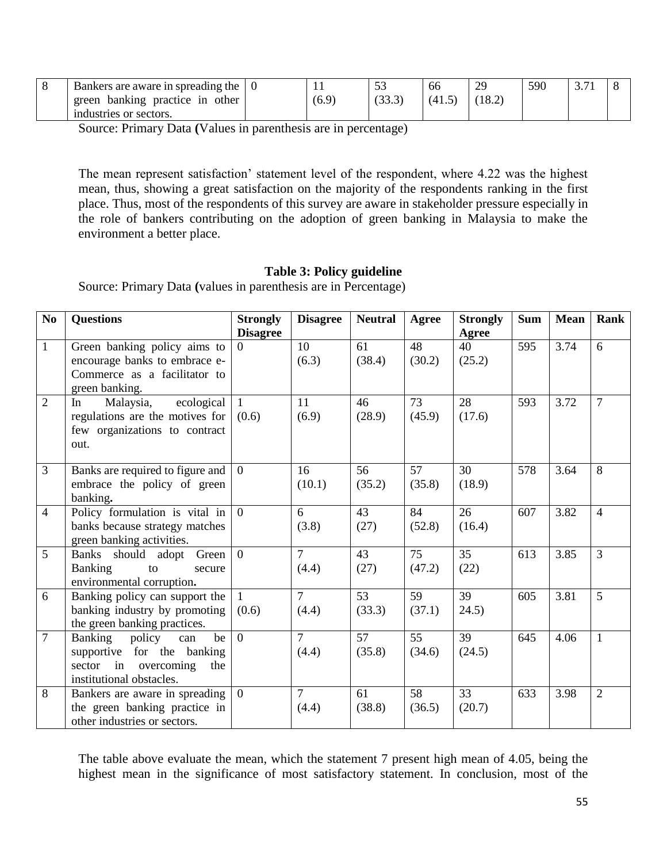| Bankers are aware in spreading the       |       | $\sim$ | 66   | 29 | 590 |  |
|------------------------------------------|-------|--------|------|----|-----|--|
| other<br>practice in<br>banking<br>green | (6.9) | \`JJ.J | (41) |    |     |  |
| industries or sectors.                   |       |        |      |    |     |  |

Source: Primary Data **(**Values in parenthesis are in percentage)

The mean represent satisfaction' statement level of the respondent, where 4.22 was the highest mean, thus, showing a great satisfaction on the majority of the respondents ranking in the first place. Thus, most of the respondents of this survey are aware in stakeholder pressure especially in the role of bankers contributing on the adoption of green banking in Malaysia to make the environment a better place.

## **Table 3: Policy guideline**

Source: Primary Data **(**values in parenthesis are in Percentage)

| No             | <b>Questions</b>                                                                                                           | <b>Strongly</b><br><b>Disagree</b> | <b>Disagree</b>         | <b>Neutral</b> | <b>Agree</b>              | <b>Strongly</b>       | <b>Sum</b> | <b>Mean</b> | Rank           |
|----------------|----------------------------------------------------------------------------------------------------------------------------|------------------------------------|-------------------------|----------------|---------------------------|-----------------------|------------|-------------|----------------|
| $\mathbf{1}$   | Green banking policy aims to<br>encourage banks to embrace e-<br>Commerce as a facilitator to<br>green banking.            | $\Omega$                           | 10<br>(6.3)             | 61<br>(38.4)   | $\overline{48}$<br>(30.2) | Agree<br>40<br>(25.2) | 595        | 3.74        | 6              |
| $\overline{2}$ | ecological<br>Malaysia,<br>In<br>regulations are the motives for<br>few organizations to contract<br>out.                  | -1<br>(0.6)                        | 11<br>(6.9)             | 46<br>(28.9)   | 73<br>(45.9)              | 28<br>(17.6)          | 593        | 3.72        | $\overline{7}$ |
| $\overline{3}$ | Banks are required to figure and<br>embrace the policy of green<br>banking.                                                | $\Omega$                           | 16<br>(10.1)            | 56<br>(35.2)   | 57<br>(35.8)              | 30<br>(18.9)          | 578        | 3.64        | 8              |
| $\overline{4}$ | Policy formulation is vital in<br>banks because strategy matches<br>green banking activities.                              | $\overline{0}$                     | 6<br>(3.8)              | 43<br>(27)     | 84<br>(52.8)              | 26<br>(16.4)          | 607        | 3.82        | $\overline{4}$ |
| 5              | Banks should adopt Green<br><b>Banking</b><br>to<br>secure<br>environmental corruption.                                    | $\overline{0}$                     | $\overline{7}$<br>(4.4) | 43<br>(27)     | 75<br>(47.2)              | 35<br>(22)            | 613        | 3.85        | $\overline{3}$ |
| 6              | Banking policy can support the<br>banking industry by promoting<br>the green banking practices.                            | (0.6)                              | $\overline{7}$<br>(4.4) | 53<br>(33.3)   | 59<br>(37.1)              | 39<br>24.5)           | 605        | 3.81        | 5              |
| $\overline{7}$ | Banking<br>policy<br>be<br>can<br>supportive for the banking<br>in overcoming<br>sector<br>the<br>institutional obstacles. | $\overline{0}$                     | $\overline{7}$<br>(4.4) | 57<br>(35.8)   | 55<br>(34.6)              | 39<br>(24.5)          | 645        | 4.06        | $\mathbf{1}$   |
| 8              | Bankers are aware in spreading<br>the green banking practice in<br>other industries or sectors.                            | $\Omega$                           | $\tau$<br>(4.4)         | 61<br>(38.8)   | 58<br>(36.5)              | 33<br>(20.7)          | 633        | 3.98        | $\overline{2}$ |

The table above evaluate the mean, which the statement 7 present high mean of 4.05, being the highest mean in the significance of most satisfactory statement. In conclusion, most of the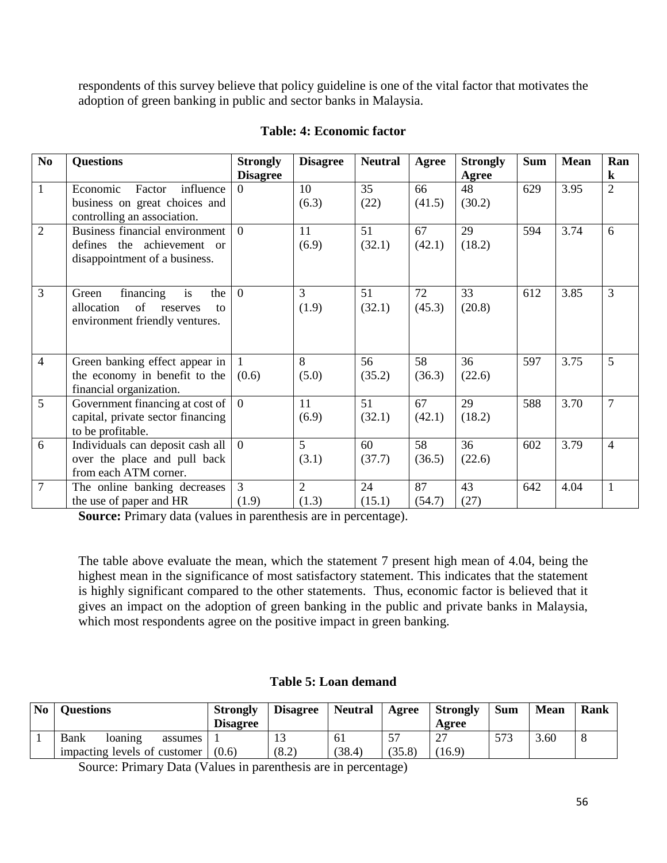respondents of this survey believe that policy guideline is one of the vital factor that motivates the adoption of green banking in public and sector banks in Malaysia.

| $\mathbf{N}\mathbf{0}$ | <b>Questions</b>                                                                                        | <b>Strongly</b>             | <b>Disagree</b>         | <b>Neutral</b> | Agree        | <b>Strongly</b>       | <b>Sum</b> | <b>Mean</b> | Ran                       |
|------------------------|---------------------------------------------------------------------------------------------------------|-----------------------------|-------------------------|----------------|--------------|-----------------------|------------|-------------|---------------------------|
| $\mathbf{1}$           | Economic<br>Factor<br>influence<br>business on great choices and<br>controlling an association.         | <b>Disagree</b><br>$\Omega$ | 10<br>(6.3)             | 35<br>(22)     | 66<br>(41.5) | Agree<br>48<br>(30.2) | 629        | 3.95        | $\bf k$<br>$\overline{2}$ |
| $\overline{2}$         | <b>Business financial environment</b><br>defines the achievement or<br>disappointment of a business.    | $\Omega$                    | 11<br>(6.9)             | 51<br>(32.1)   | 67<br>(42.1) | 29<br>(18.2)          | 594        | 3.74        | 6                         |
| 3                      | financing<br>is<br>the<br>Green<br>of<br>allocation<br>reserves<br>to<br>environment friendly ventures. | $\theta$                    | 3<br>(1.9)              | 51<br>(32.1)   | 72<br>(45.3) | 33<br>(20.8)          | 612        | 3.85        | $\overline{3}$            |
| $\overline{4}$         | Green banking effect appear in<br>the economy in benefit to the<br>financial organization.              | (0.6)                       | 8<br>(5.0)              | 56<br>(35.2)   | 58<br>(36.3) | 36<br>(22.6)          | 597        | 3.75        | $5\overline{)}$           |
| 5                      | Government financing at cost of<br>capital, private sector financing<br>to be profitable.               | $\overline{0}$              | 11<br>(6.9)             | 51<br>(32.1)   | 67<br>(42.1) | 29<br>(18.2)          | 588        | 3.70        | $\overline{7}$            |
| 6                      | Individuals can deposit cash all<br>over the place and pull back<br>from each ATM corner.               | $\theta$                    | 5<br>(3.1)              | 60<br>(37.7)   | 58<br>(36.5) | 36<br>(22.6)          | 602        | 3.79        | $\overline{4}$            |
| $\overline{7}$         | The online banking decreases<br>the use of paper and HR                                                 | $\overline{3}$<br>(1.9)     | $\overline{2}$<br>(1.3) | 24<br>(15.1)   | 87<br>(54.7) | 43<br>(27)            | 642        | 4.04        | $\mathbf{1}$              |

## **Table: 4: Economic factor**

**Source:** Primary data (values in parenthesis are in percentage).

The table above evaluate the mean, which the statement 7 present high mean of 4.04, being the highest mean in the significance of most satisfactory statement. This indicates that the statement is highly significant compared to the other statements. Thus, economic factor is believed that it gives an impact on the adoption of green banking in the public and private banks in Malaysia, which most respondents agree on the positive impact in green banking.

## **Table 5: Loan demand**

| No | <b>Questions</b>             | <b>Strongly</b><br><b>Disagree</b> | <b>Disagree</b> | <b>Neutral</b> | Agree  | Strongly<br>Agree | Sum | <b>Mean</b> | Rank |
|----|------------------------------|------------------------------------|-----------------|----------------|--------|-------------------|-----|-------------|------|
|    | Bank<br>loaning<br>assumes   |                                    |                 | 61             | 57     | $\cap$            | 573 | 3.60        | 8    |
|    | impacting levels of customer | (0.6)                              | (8.2)           | (38.4)         | (35.8) | (16.9)            |     |             |      |

Source: Primary Data (Values in parenthesis are in percentage)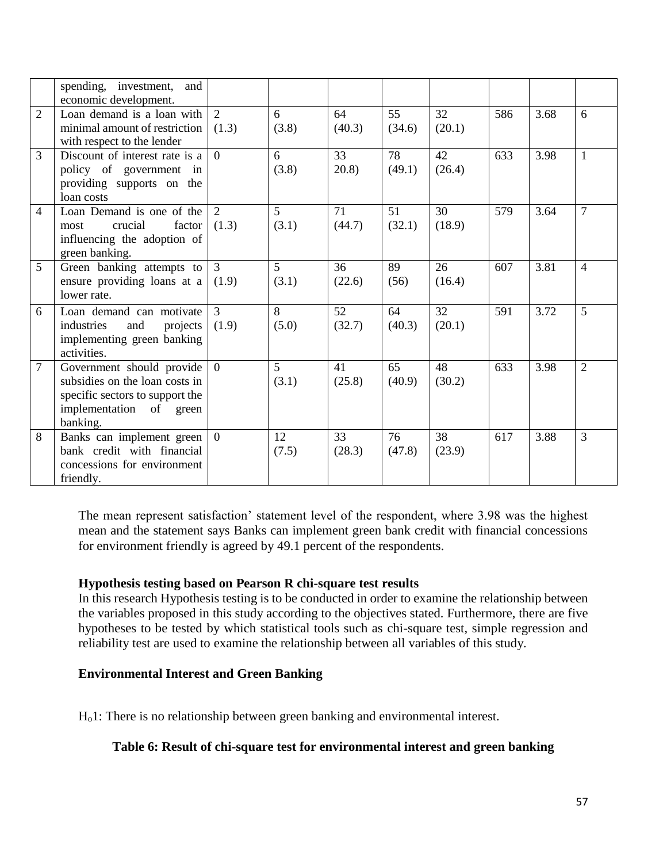|                | spending, investment,<br>and<br>economic development.                                                                                    |                         |             |              |              |              |     |      |                |
|----------------|------------------------------------------------------------------------------------------------------------------------------------------|-------------------------|-------------|--------------|--------------|--------------|-----|------|----------------|
| $\overline{2}$ | Loan demand is a loan with<br>minimal amount of restriction<br>with respect to the lender                                                | 2<br>(1.3)              | 6<br>(3.8)  | 64<br>(40.3) | 55<br>(34.6) | 32<br>(20.1) | 586 | 3.68 | 6              |
| 3              | Discount of interest rate is a<br>policy of government in<br>providing supports on the<br>loan costs                                     | $\theta$                | 6<br>(3.8)  | 33<br>20.8)  | 78<br>(49.1) | 42<br>(26.4) | 633 | 3.98 | $\mathbf{1}$   |
| $\overline{4}$ | Loan Demand is one of the<br>factor<br>crucial<br>most<br>influencing the adoption of<br>green banking.                                  | $\overline{2}$<br>(1.3) | 5<br>(3.1)  | 71<br>(44.7) | 51<br>(32.1) | 30<br>(18.9) | 579 | 3.64 | $\tau$         |
| 5              | Green banking attempts to<br>ensure providing loans at a<br>lower rate.                                                                  | 3<br>(1.9)              | 5<br>(3.1)  | 36<br>(22.6) | 89<br>(56)   | 26<br>(16.4) | 607 | 3.81 | $\overline{4}$ |
| 6              | Loan demand can motivate<br>industries<br>and<br>projects<br>implementing green banking<br>activities.                                   | $\overline{3}$<br>(1.9) | 8<br>(5.0)  | 52<br>(32.7) | 64<br>(40.3) | 32<br>(20.1) | 591 | 3.72 | 5              |
| $\tau$         | Government should provide<br>subsidies on the loan costs in<br>specific sectors to support the<br>implementation<br>of green<br>banking. | $\overline{0}$          | 5<br>(3.1)  | 41<br>(25.8) | 65<br>(40.9) | 48<br>(30.2) | 633 | 3.98 | $\overline{2}$ |
| 8              | Banks can implement green<br>bank credit with financial<br>concessions for environment<br>friendly.                                      | $\overline{0}$          | 12<br>(7.5) | 33<br>(28.3) | 76<br>(47.8) | 38<br>(23.9) | 617 | 3.88 | 3              |

The mean represent satisfaction' statement level of the respondent, where 3.98 was the highest mean and the statement says Banks can implement green bank credit with financial concessions for environment friendly is agreed by 49.1 percent of the respondents.

## **Hypothesis testing based on Pearson R chi-square test results**

In this research Hypothesis testing is to be conducted in order to examine the relationship between the variables proposed in this study according to the objectives stated. Furthermore, there are five hypotheses to be tested by which statistical tools such as chi-square test, simple regression and reliability test are used to examine the relationship between all variables of this study.

## **Environmental Interest and Green Banking**

Ho1: There is no relationship between green banking and environmental interest.

## **Table 6: Result of chi-square test for environmental interest and green banking**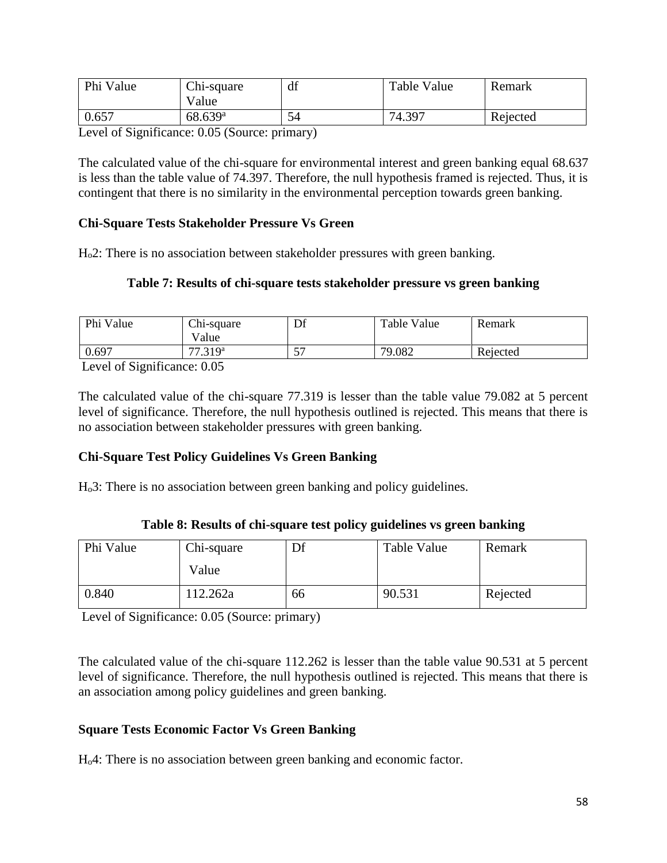| Phi Value | Chi-square<br>Value   | df | Table Value | Remark   |
|-----------|-----------------------|----|-------------|----------|
| 0.657     | $68.639$ <sup>a</sup> |    | 74.397      | Rejected |

Level of Significance: 0.05 (Source: primary)

The calculated value of the chi-square for environmental interest and green banking equal 68.637 is less than the table value of 74.397. Therefore, the null hypothesis framed is rejected. Thus, it is contingent that there is no similarity in the environmental perception towards green banking.

## **Chi-Square Tests Stakeholder Pressure Vs Green**

Ho2: There is no association between stakeholder pressures with green banking.

## **Table 7: Results of chi-square tests stakeholder pressure vs green banking**

| Phi Value                     | Chi-square<br>Value      | Df | Table Value | Remark   |
|-------------------------------|--------------------------|----|-------------|----------|
| 0.697                         | 77.319 <sup>a</sup>      | ٣  | 79.082      | Rejected |
| $\cdot$ $\sim$<br>$\sim \sim$ | $\Omega$ $\Omega$ $\sim$ |    |             |          |

Level of Significance: 0.05

The calculated value of the chi-square 77.319 is lesser than the table value 79.082 at 5 percent level of significance. Therefore, the null hypothesis outlined is rejected. This means that there is no association between stakeholder pressures with green banking.

## **Chi-Square Test Policy Guidelines Vs Green Banking**

Ho3: There is no association between green banking and policy guidelines.

| Table 8: Results of chi-square test policy guidelines vs green banking |  |  |
|------------------------------------------------------------------------|--|--|
|------------------------------------------------------------------------|--|--|

| Phi Value | Chi-square | Df | Table Value | Remark   |
|-----------|------------|----|-------------|----------|
|           | Value      |    |             |          |
| 0.840     | 112.262a   | 66 | 90.531      | Rejected |

Level of Significance: 0.05 (Source: primary)

The calculated value of the chi-square 112.262 is lesser than the table value 90.531 at 5 percent level of significance. Therefore, the null hypothesis outlined is rejected. This means that there is an association among policy guidelines and green banking.

## **Square Tests Economic Factor Vs Green Banking**

Ho4: There is no association between green banking and economic factor.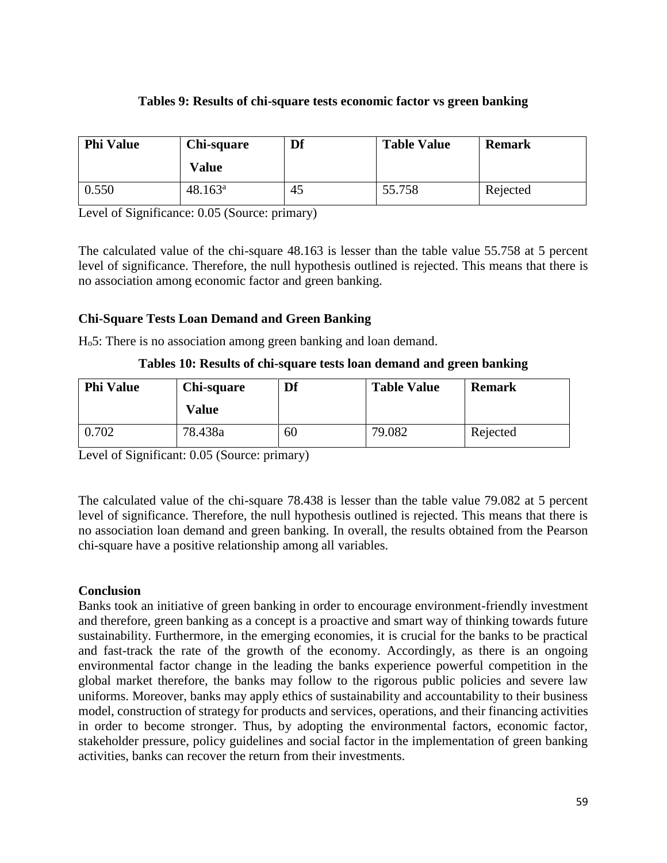# **Tables 9: Results of chi-square tests economic factor vs green banking**

| <b>Phi Value</b> | Chi-square<br><b>Value</b> | Df | <b>Table Value</b> | <b>Remark</b> |
|------------------|----------------------------|----|--------------------|---------------|
| 0.550            | $48.163^a$                 | 45 | 55.758             | Rejected      |

Level of Significance: 0.05 (Source: primary)

The calculated value of the chi-square 48.163 is lesser than the table value 55.758 at 5 percent level of significance. Therefore, the null hypothesis outlined is rejected. This means that there is no association among economic factor and green banking.

# **Chi-Square Tests Loan Demand and Green Banking**

Ho5: There is no association among green banking and loan demand.

## **Tables 10: Results of chi-square tests loan demand and green banking**

| <b>Phi Value</b> | Chi-square | Df | <b>Table Value</b> | <b>Remark</b> |
|------------------|------------|----|--------------------|---------------|
|                  | Value      |    |                    |               |
| 0.702            | 78.438a    | 60 | 79.082             | Rejected      |

Level of Significant: 0.05 (Source: primary)

The calculated value of the chi-square 78.438 is lesser than the table value 79.082 at 5 percent level of significance. Therefore, the null hypothesis outlined is rejected. This means that there is no association loan demand and green banking. In overall, the results obtained from the Pearson chi-square have a positive relationship among all variables.

## **Conclusion**

Banks took an initiative of green banking in order to encourage environment-friendly investment and therefore, green banking as a concept is a proactive and smart way of thinking towards future sustainability. Furthermore, in the emerging economies, it is crucial for the banks to be practical and fast-track the rate of the growth of the economy. Accordingly, as there is an ongoing environmental factor change in the leading the banks experience powerful competition in the global market therefore, the banks may follow to the rigorous public policies and severe law uniforms. Moreover, banks may apply ethics of sustainability and accountability to their business model, construction of strategy for products and services, operations, and their financing activities in order to become stronger. Thus, by adopting the environmental factors, economic factor, stakeholder pressure, policy guidelines and social factor in the implementation of green banking activities, banks can recover the return from their investments.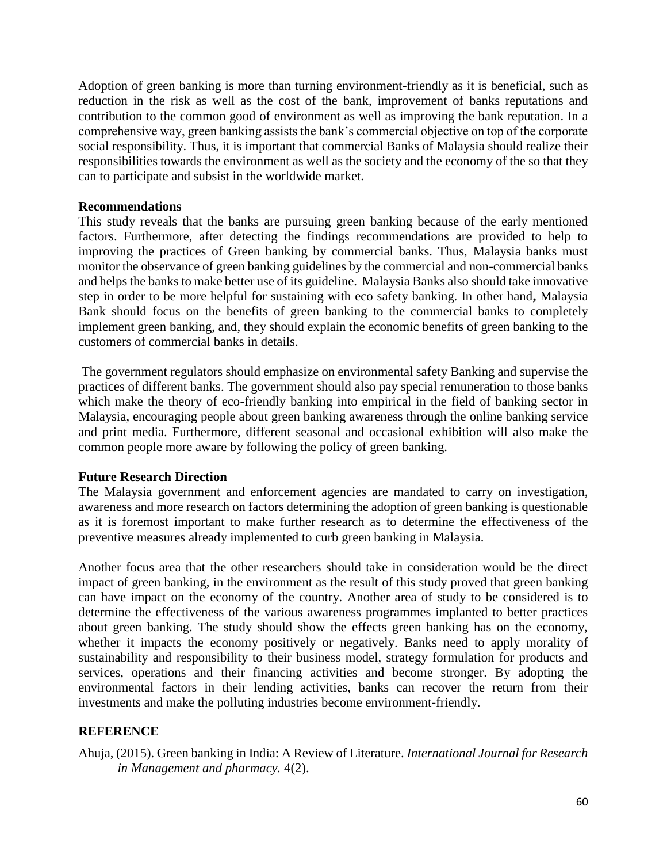Adoption of green banking is more than turning environment-friendly as it is beneficial, such as reduction in the risk as well as the cost of the bank, improvement of banks reputations and contribution to the common good of environment as well as improving the bank reputation. In a comprehensive way, green banking assists the bank's commercial objective on top of the corporate social responsibility. Thus, it is important that commercial Banks of Malaysia should realize their responsibilities towards the environment as well as the society and the economy of the so that they can to participate and subsist in the worldwide market.

#### **Recommendations**

This study reveals that the banks are pursuing green banking because of the early mentioned factors. Furthermore, after detecting the findings recommendations are provided to help to improving the practices of Green banking by commercial banks. Thus, Malaysia banks must monitor the observance of green banking guidelines by the commercial and non-commercial banks and helps the banks to make better use of its guideline. Malaysia Banks also should take innovative step in order to be more helpful for sustaining with eco safety banking. In other hand**,** Malaysia Bank should focus on the benefits of green banking to the commercial banks to completely implement green banking, and, they should explain the economic benefits of green banking to the customers of commercial banks in details.

The government regulators should emphasize on environmental safety Banking and supervise the practices of different banks. The government should also pay special remuneration to those banks which make the theory of eco-friendly banking into empirical in the field of banking sector in Malaysia, encouraging people about green banking awareness through the online banking service and print media. Furthermore, different seasonal and occasional exhibition will also make the common people more aware by following the policy of green banking.

## **Future Research Direction**

The Malaysia government and enforcement agencies are mandated to carry on investigation, awareness and more research on factors determining the adoption of green banking is questionable as it is foremost important to make further research as to determine the effectiveness of the preventive measures already implemented to curb green banking in Malaysia.

Another focus area that the other researchers should take in consideration would be the direct impact of green banking, in the environment as the result of this study proved that green banking can have impact on the economy of the country. Another area of study to be considered is to determine the effectiveness of the various awareness programmes implanted to better practices about green banking. The study should show the effects green banking has on the economy, whether it impacts the economy positively or negatively. Banks need to apply morality of sustainability and responsibility to their business model, strategy formulation for products and services, operations and their financing activities and become stronger. By adopting the environmental factors in their lending activities, banks can recover the return from their investments and make the polluting industries become environment-friendly.

## **REFERENCE**

Ahuja, (2015). Green banking in India: A Review of Literature. *International Journal for Research in Management and pharmacy.* 4(2).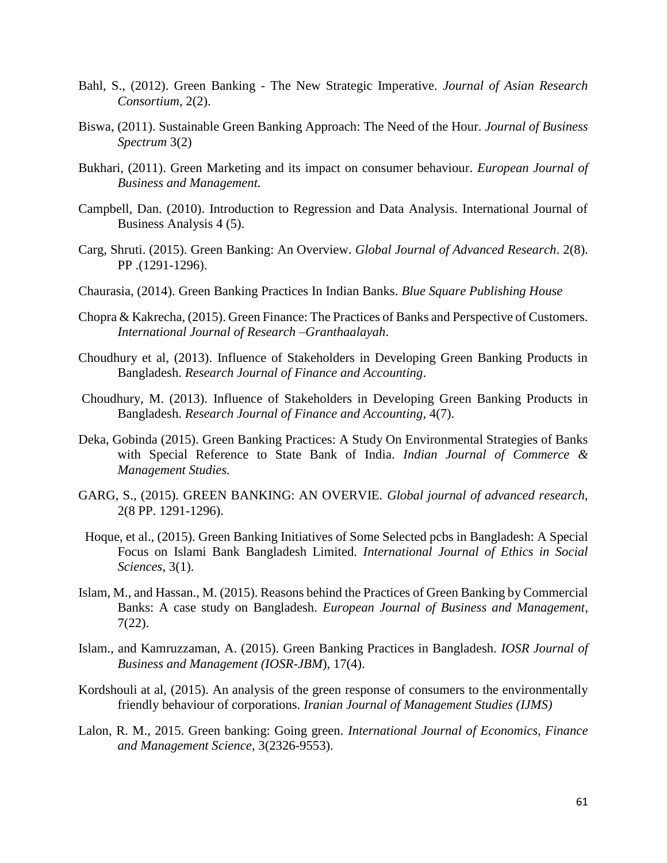- Bahl, S., (2012). Green Banking The New Strategic Imperative. *Journal of Asian Research Consortium*, 2(2).
- Biswa, (2011). Sustainable Green Banking Approach: The Need of the Hour. *Journal of Business Spectrum* 3(2)
- Bukhari, (2011). Green Marketing and its impact on consumer behaviour. *European Journal of Business and Management.*
- Campbell, Dan. (2010). Introduction to Regression and Data Analysis. International Journal of Business Analysis 4 (5).
- Carg, Shruti. (2015). Green Banking: An Overview. *Global Journal of Advanced Research*. 2(8). PP .(1291-1296).
- Chaurasia, (2014). Green Banking Practices In Indian Banks. *Blue Square Publishing House*
- Chopra & Kakrecha, (2015). Green Finance: The Practices of Banks and Perspective of Customers. *International Journal of Research –Granthaalayah*.
- Choudhury et al, (2013). Influence of Stakeholders in Developing Green Banking Products in Bangladesh. *Research Journal of Finance and Accounting*.
- Choudhury, M. (2013). Influence of Stakeholders in Developing Green Banking Products in Bangladesh. *Research Journal of Finance and Accounting*, 4(7).
- Deka, Gobinda (2015). Green Banking Practices: A Study On Environmental Strategies of Banks with Special Reference to State Bank of India. *Indian Journal of Commerce & Management Studies.*
- GARG, S., (2015). GREEN BANKING: AN OVERVIE*. Global journal of advanced research,*  2(8 PP. 1291-1296).
- Hoque, et al., (2015). Green Banking Initiatives of Some Selected pcbs in Bangladesh: A Special Focus on Islami Bank Bangladesh Limited. *International Journal of Ethics in Social Sciences*, 3(1).
- Islam, M., and Hassan., M. (2015). Reasons behind the Practices of Green Banking by Commercial Banks: A case study on Bangladesh. *European Journal of Business and Management*, 7(22).
- Islam., and Kamruzzaman, A. (2015). Green Banking Practices in Bangladesh. *IOSR Journal of Business and Management (IOSR-JBM*), 17(4).
- Kordshouli at al, (2015). An analysis of the green response of consumers to the environmentally friendly behaviour of corporations. *Iranian Journal of Management Studies (IJMS)*
- Lalon, R. M., 2015. Green banking: Going green. *International Journal of Economics, Finance and Management Science*, 3(2326-9553).